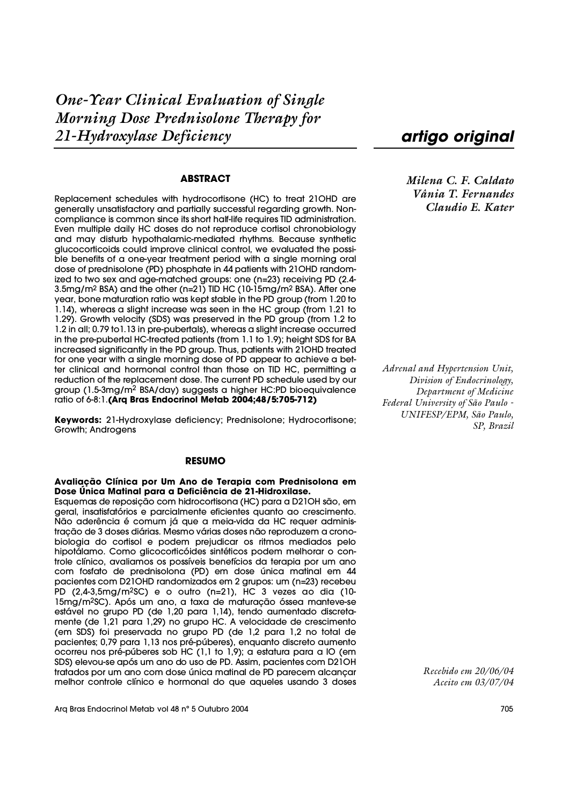### **ABSTRACT**

Replacement schedules with hydrocortisone (HC) to treat 21OHD are generally unsatisfactory and partially successful regarding growth. Noncompliance is common since its short half-life requires TID administration. Even multiple daily HC doses do not reproduce cortisol chronobiology and may disturb hypothalamic-mediated rhythms. Because synthetic glucocorticoids could improve clinical control, we evaluated the possible benefits of a one-year treatment period with a single morning oral dose of prednisolone (PD) phosphate in 44 patients with 21OHD randomized to two sex and age-matched groups: one (n=23) receiving PD (2.4- 3.5mg/m<sup>2</sup> BSA) and the other (n=21) TID HC (10-15mg/m<sup>2</sup> BSA). After one year, bone maturation ratio was kept stable in the PD group (from 1.20 to 1.14), whereas a slight increase was seen in the HC group (from 1.21 to 1.29). Growth velocity (SDS) was preserved in the PD group (from 1.2 to 1.2 in all; 0.79 to1.13 in pre-pubertals), whereas a slight increase occurred in the pre-pubertal HC-treated patients (from 1.1 to 1.9); height SDS for BA increased significantly in the PD group. Thus, patients with 21OHD treated for one year with a single morning dose of PD appear to achieve a better clinical and hormonal control than those on TID HC, permitting a reduction of the replacement dose. The current PD schedule used by our group (1.5-3mg/m2 BSA/day) suggests a higher HC:PD bioequivalence ratio of 6-8:1.**(Arq Bras Endocrinol Metab 2004;48/5:705-712)**

**Keywords:** 21-Hydroxylase deficiency; Prednisolone; Hydrocortisone; Growth; Androgens

#### **RESUMO**

**Avaliação Clínica por Um Ano de Terapia com Prednisolona em Dose Única Matinal para a Deficiência de 21-Hidroxilase.**

Esquemas de reposição com hidrocortisona (HC) para a D21OH são, em geral, insatisfatórios e parcialmente eficientes quanto ao crescimento. Não aderência é comum já que a meia-vida da HC requer administração de 3 doses diárias. Mesmo várias doses não reproduzem a cronobiologia do cortisol e podem prejudicar os ritmos mediados pelo hipotálamo. Como glicocorticóides sintéticos podem melhorar o controle clínico, avaliamos os possíveis benefícios da terapia por um ano com fosfato de prednisolona (PD) em dose única matinal em 44 pacientes com D21OHD randomizados em 2 grupos: um (n=23) recebeu PD (2,4-3,5mg/m2SC) e o outro (n=21), HC 3 vezes ao dia (10- 15mg/m<sup>2</sup>SC). Após um ano, a taxa de maturação óssea manteve-se estável no grupo PD (de 1,20 para 1,14), tendo aumentado discretamente (de 1,21 para 1,29) no grupo HC. A velocidade de crescimento (em SDS) foi preservada no grupo PD (de 1,2 para 1,2 no total de pacientes; 0,79 para 1,13 nos pré-púberes), enquanto discreto aumento ocorreu nos pré-púberes sob HC (1,1 to 1,9); a estatura para a IO (em SDS) elevou-se após um ano do uso de PD. Assim, pacientes com D21OH tratados por um ano com dose única matinal de PD parecem alcançar melhor controle clínico e hormonal do que aqueles usando 3 doses *artigo original*

*Milena C. F. Caldato Vânia T. Fernandes Claudio E. Kater*

*Adrenal and Hypertension Unit, Division of Endocrinology, Department of Medicine Federal University of São Paulo - UNIFESP/EPM, São Paulo, SP, Brazil*

> *Recebido em 20/06/04 Aceito em 03/07/04*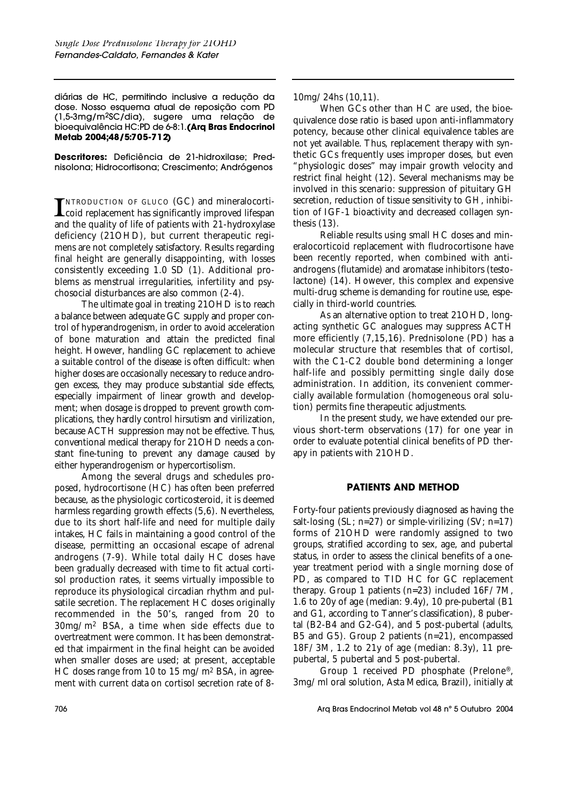diárias de HC, permitindo inclusive a redução da dose. Nosso esquema atual de reposição com PD (1,5-3mg/m<sup>2</sup>SC/dia), sugere uma relação de bioequivalência HC:PD de 6-8:1.**(Arq Bras Endocrinol** Metab 2004;48/5:705-712)

**Descritores:** Deficiência de 21-hidroxilase; Prednisolona; Hidrocortisona; Crescimento; Andrógenos

**I**NTRODUCTION OF GLUCO (GC) and mineralocorti-<br>
coid replacement has significantly improved lifespan and the quality of life of patients with 21-hydroxylase deficiency (21OHD), but current therapeutic regimens are not completely satisfactory. Results regarding final height are generally disappointing, with losses consistently exceeding 1.0 SD (1). Additional problems as menstrual irregularities, infertility and psychosocial disturbances are also common (2-4).

The ultimate goal in treating 21OHD is to reach a balance between adequate GC supply and proper control of hyperandrogenism, in order to avoid acceleration of bone maturation and attain the predicted final height. However, handling GC replacement to achieve a suitable control of the disease is often difficult: when higher doses are occasionally necessary to reduce androgen excess, they may produce substantial side effects, especially impairment of linear growth and development; when dosage is dropped to prevent growth complications, they hardly control hirsutism and virilization, because ACTH suppression may not be effective. Thus, conventional medical therapy for 21OHD needs a constant fine-tuning to prevent any damage caused by either hyperandrogenism or hypercortisolism.

Among the several drugs and schedules proposed, hydrocortisone (HC) has often been preferred because, as the physiologic corticosteroid, it is deemed harmless regarding growth effects (5,6). Nevertheless, due to its short half-life and need for multiple daily intakes, HC fails in maintaining a good control of the disease, permitting an occasional escape of adrenal androgens (7-9). While total daily HC doses have been gradually decreased with time to fit actual cortisol production rates, it seems virtually impossible to reproduce its physiological circadian rhythm and pulsatile secretion. The replacement HC doses originally recommended in the 50's, ranged from 20 to 30mg/m2 BSA, a time when side effects due to overtreatment were common. It has been demonstrated that impairment in the final height can be avoided when smaller doses are used; at present, acceptable HC doses range from 10 to 15 mg/m2 BSA, in agreement with current data on cortisol secretion rate of 810mg/24hs (10,11).

When GCs other than HC are used, the bioequivalence dose ratio is based upon anti-inflammatory potency, because other clinical equivalence tables are not yet available. Thus, replacement therapy with synthetic GCs frequently uses improper doses, but even "physiologic doses" may impair growth velocity and restrict final height (12). Several mechanisms may be involved in this scenario: suppression of pituitary GH secretion, reduction of tissue sensitivity to GH, inhibition of IGF-1 bioactivity and decreased collagen synthesis (13).

Reliable results using small HC doses and mineralocorticoid replacement with fludrocortisone have been recently reported, when combined with antiandrogens (flutamide) and aromatase inhibitors (testolactone) (14). However, this complex and expensive multi-drug scheme is demanding for routine use, especially in third-world countries.

As an alternative option to treat 21OHD, longacting synthetic GC analogues may suppress ACTH more efficiently (7,15,16). Prednisolone (PD) has a molecular structure that resembles that of cortisol, with the C1-C2 double bond determining a longer half-life and possibly permitting single daily dose administration. In addition, its convenient commercially available formulation (homogeneous oral solution) permits fine therapeutic adjustments.

In the present study, we have extended our previous short-term observations (17) for one year in order to evaluate potential clinical benefits of PD therapy in patients with 21OHD.

# **PATIENTS AND METHOD**

Forty-four patients previously diagnosed as having the salt-losing (SL; n=27) or simple-virilizing (SV; n=17) forms of 21OHD were randomly assigned to two groups, stratified according to sex, age, and pubertal status, in order to assess the clinical benefits of a oneyear treatment period with a single morning dose of PD, as compared to TID HC for GC replacement therapy. Group 1 patients (n=23) included 16F/7M, 1.6 to 20y of age (median: 9.4y), 10 pre-pubertal (B1 and G1, according to Tanner's classification), 8 pubertal (B2-B4 and G2-G4), and 5 post-pubertal (adults, B5 and G5). Group 2 patients (n=21), encompassed 18F/3M, 1.2 to 21y of age (median: 8.3y), 11 prepubertal, 5 pubertal and 5 post-pubertal.

Group 1 received PD phosphate (Prelone®, 3mg/ml oral solution, Asta Medica, Brazil), initially at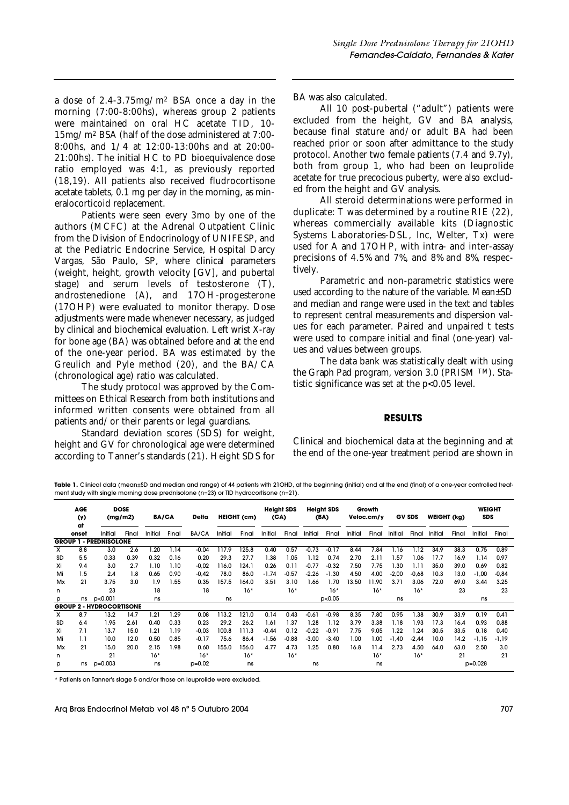a dose of 2.4-3.75mg/m2 BSA once a day in the morning (7:00-8:00hs), whereas group 2 patients were maintained on oral HC acetate TID, 10- 15mg/m2 BSA (half of the dose administered at 7:00- 8:00hs, and 1/4 at 12:00-13:00hs and at 20:00- 21:00hs). The initial HC to PD bioequivalence dose ratio employed was 4:1, as previously reported (18,19). All patients also received fludrocortisone acetate tablets, 0.1 mg per day in the morning, as mineralocorticoid replacement.

Patients were seen every 3mo by one of the authors (MCFC) at the Adrenal Outpatient Clinic from the Division of Endocrinology of UNIFESP, and at the Pediatric Endocrine Service, Hospital Darcy Vargas, São Paulo, SP, where clinical parameters (weight, height, growth velocity [GV], and pubertal stage) and serum levels of testosterone (T), androstenedione (A), and 17OH-progesterone (17OHP) were evaluated to monitor therapy. Dose adjustments were made whenever necessary, as judged by clinical and biochemical evaluation. Left wrist X-ray for bone age (BA) was obtained before and at the end of the one-year period. BA was estimated by the Greulich and Pyle method (20), and the BA/CA (chronological age) ratio was calculated.

The study protocol was approved by the Committees on Ethical Research from both institutions and informed written consents were obtained from all patients and/or their parents or legal guardians.

Standard deviation scores (SDS) for weight, height and GV for chronological age were determined according to Tanner's standards (21). Height SDS for BA was also calculated.

All 10 post-pubertal ("adult") patients were excluded from the height, GV and BA analysis, because final stature and/or adult BA had been reached prior or soon after admittance to the study protocol. Another two female patients (7.4 and 9.7y), both from group 1, who had been on leuprolide acetate for true precocious puberty, were also excluded from the height and GV analysis.

All steroid determinations were performed in duplicate: T was determined by a routine RIE (22), whereas commercially available kits (Diagnostic Systems Laboratories-DSL, lnc, Welter, Tx) were used for A and 17OHP, with intra- and inter-assay precisions of 4.5% and 7%, and 8% and 8%, respectively.

Parametric and non-parametric statistics were used according to the nature of the variable. Mean±SD and median and range were used in the text and tables to represent central measurements and dispersion values for each parameter. Paired and unpaired t tests were used to compare initial and final (one-year) values and values between groups.

The data bank was statistically dealt with using the Graph Pad program, version 3.0 (PRISM TM). Statistic significance was set at the p<0.05 level.

## **RESULTS**

Clinical and biochemical data at the beginning and at the end of the one-year treatment period are shown in

Table 1. Clinical data (mean±SD and median and range) of 44 patients with 21OHD, at the beginning (initial) and at the end (final) of a one-year controlled treatment study with single morning dose prednisolone (n=23) or TID hydrocortisone (n=21).

|                                 | <b>AGE</b><br>(y) | <b>DOSE</b><br>(mq/m2)<br>at |       | <b>BA/CA</b> |       | Delta    | HEIGHT (cm) |       | <b>Height SDS</b><br>(CA) |         | <b>Height SDS</b><br>(BA) |         | Growth<br>Veloc.cm/y |       | <b>GV SDS</b> |         | <b>WEIGHT (kg)</b> |       | <b>WEIGHT</b><br><b>SDS</b> |         |
|---------------------------------|-------------------|------------------------------|-------|--------------|-------|----------|-------------|-------|---------------------------|---------|---------------------------|---------|----------------------|-------|---------------|---------|--------------------|-------|-----------------------------|---------|
|                                 | onset             | Initial                      | Final | Initial      | Final | BA/CA    | Initial     | Final | Initial                   | Final   | Initial                   | Final   | Initial              | Final | Initial       | Final   | Initial            | Final | Initial                     | Final   |
| <b>GROUP 1 - PREDNISOLONE</b>   |                   |                              |       |              |       |          |             |       |                           |         |                           |         |                      |       |               |         |                    |       |                             |         |
| х                               | 8.8               | 3.0                          | 2.6   | 1.20         | 1.14  | $-0.04$  | 117.9       | 125.8 | 0.40                      | 0.57    | $-0.73$                   | $-0.17$ | 8.44                 | 7.84  | 1.16          | 1.12    | 34.9               | 38.3  | 0.75                        | 0.89    |
| SD                              | 5.5               | 0.33                         | 0.39  | 0.32         | 0.16  | 0.20     | 29.3        | 27.7  | .38                       | 1.05    | 1.12                      | 0.74    | 2.70                 | 2.11  | 1.57          | 1.06    | 17.7               | 16.9  | 1.14                        | 0.97    |
| Xi                              | 9.4               | 3.0                          | 2.7   | 1.10         | 1.10  | $-0,02$  | 116.0       | 124.1 | 0.26                      | 0.11    | $-0.77$                   | $-0.32$ | 7.50                 | 7.75  | 1.30          | 1.11    | 35.0               | 39.0  | 0.69                        | 0.82    |
| Mi                              | 1.5               | 2.4                          | 1.8   | 0.65         | 0.90  | $-0,42$  | 78.0        | 86.0  | $-1.74$                   | $-0.57$ | $-2.26$                   | $-1.30$ | 4.50                 | 4.00  | $-2,00$       | $-0.68$ | 10.3               | 13.0  | $-1,00$                     | $-0,84$ |
| Mx                              | 21                | 3.75                         | 3.0   | 1.9          | 1.55  | 0.35     | 157.5       | 164.0 | 3.51                      | 3.10    | 1.66                      | 1.70    | 13.50                | 1.90  | 3.71          | 3.06    | 72.0               | 69.0  | 3.44                        | 3.25    |
| n                               |                   | 23                           |       | 18           |       | 18       |             | $16*$ |                           | $16*$   |                           | $16*$   |                      | $16*$ |               | $16*$   |                    | 23    |                             | 23      |
| р                               |                   | ns p<0.001                   |       | ns           |       |          | ns          |       |                           |         |                           | p<0.05  |                      |       | ns            |         |                    |       | ns                          |         |
| <b>GROUP 2 - HYDROCORTISONE</b> |                   |                              |       |              |       |          |             |       |                           |         |                           |         |                      |       |               |         |                    |       |                             |         |
| x                               | 8.7               | 13.2                         | 14.7  | 1.21         | 1.29  | 0.08     | 113.2       | 121.0 | 0.14                      | 0.43    | $-0.61$                   | $-0.98$ | 8.35                 | 7.80  | 0.95          | .38     | 30.9               | 33.9  | 0.19                        | 0.41    |
| SD                              | 6.4               | 1.95                         | 2.61  | 0.40         | 0.33  | 0.23     | 29.2        | 26.2  | l.61                      | 1.37    | 1.28                      | 1.12    | 3.79                 | 3.38  | 1.18          | .93     | 17.3               | 16.4  | 0.93                        | 0.88    |
| Xi                              | 7.1               | 13.7                         | 15.0  | 1.21         | 1.19  | $-0,03$  | 100.8       | 111.3 | $-0.44$                   | 0.12    | $-0.22$                   | $-0.91$ | 7.75                 | 9.05  | 1.22          | .24     | 30.5               | 33.5  | 0.18                        | 0.40    |
| Mi                              | 1.1               | 10.0                         | 12.0  | 0.50         | 0.85  | $-0.17$  | 75.6        | 86.4  | $-1.56$                   | $-0.88$ | $-3.00$                   | $-3.40$ | 1.00                 | 1.00  | $-1,40$       | $-2,44$ | 10.0               | 14.2  | -1,15                       | -1,19   |
| Mx                              | 21                | 15.0                         | 20.0  | 2.15         | 1.98  | 0.60     | 155.0       | 156.0 | 4.77                      | 4.73    | 1.25                      | 0.80    | 16.8                 | 11.4  | 2.73          | 4.50    | 64.0               | 63.0  | 2.50                        | 3.0     |
| n                               |                   | 21                           |       | $16*$        |       | $16*$    |             | $16*$ |                           | $16*$   |                           |         |                      | $16*$ |               | $16*$   |                    | 21    |                             | 21      |
| p                               |                   | ns p=0.003                   |       | ns           |       | $p=0.02$ |             | ns    |                           |         | ns                        |         |                      | ns    |               |         |                    |       | $p=0.028$                   |         |

\* Patients on Tanner's stage 5 and/or those on leuprolide were excluded.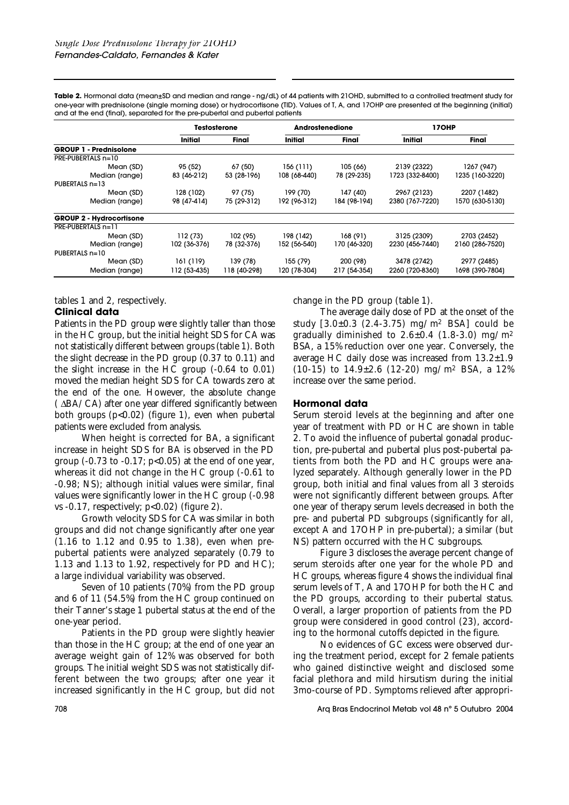**Table 2.** Hormonal data (mean±SD and median and range - ng/dL) of 44 patients with 21OHD, submitted to a controlled treatment study for one-year with prednisolone (single morning dose) or hydrocortisone (TID). Values of T, A, and 17OHP are presented at the beginning (initial) and at the end (final), separated for the pre-pubertal and pubertal patients

|                                 | <b>Testosterone</b> |              | Androstenedione |              | 17OHP           |                 |  |  |
|---------------------------------|---------------------|--------------|-----------------|--------------|-----------------|-----------------|--|--|
|                                 | Initial             | Final        | Initial         | Final        | <b>Initial</b>  | Final           |  |  |
| <b>GROUP 1 - Prednisolone</b>   |                     |              |                 |              |                 |                 |  |  |
| PRE-PUBERTALS n=10              |                     |              |                 |              |                 |                 |  |  |
| Mean (SD)                       | 95 (52)             | 67 (50)      | 156(111)        | 105 (66)     | 2139 (2322)     | 1267 (947)      |  |  |
| Median (range)                  | 83 (46-212)         | 53 (28-196)  | 108 (68-440)    | 78 (29-235)  | 1723 (332-8400) | 1235 (160-3220) |  |  |
| PUBERTALS n=13                  |                     |              |                 |              |                 |                 |  |  |
| Mean (SD)                       | 128 (102)           | 97 (75)      | 199 (70)        | 147 (40)     | 2967 (2123)     | 2207 (1482)     |  |  |
| Median (range)                  | 98 (47-414)         | 75 (29-312)  | 192 (96-312)    | 184 (98-194) | 2380 (767-7220) | 1570 (630-5130) |  |  |
| <b>GROUP 2 - Hydrocortisone</b> |                     |              |                 |              |                 |                 |  |  |
| PRE-PUBERTALS n=11              |                     |              |                 |              |                 |                 |  |  |
| Mean (SD)                       | 112(73)             | 102 (95)     | 198 (142)       | 168 (91)     | 3125 (2309)     | 2703 (2452)     |  |  |
| Median (range)                  | 102 (36-376)        | 78 (32-376)  | 152 (56-540)    | 170 (46-320) | 2230 (456-7440) | 2160 (286-7520) |  |  |
| PUBERTALS n=10                  |                     |              |                 |              |                 |                 |  |  |
| Mean (SD)                       | 161 (119)           | 139 (78)     | 155 (79)        | 200 (98)     | 3478 (2742)     | 2977 (2485)     |  |  |
| Median (range)                  | 112 (53-435)        | 118 (40-298) | 120 (78-304)    | 217 (54-354) | 2260 (720-8360) | 1698 (390-7804) |  |  |

tables 1 and 2, respectively.

# **Clinical data**

Patients in the PD group were slightly taller than those in the HC group, but the initial height SDS for CA was not statistically different between groups (table 1). Both the slight decrease in the PD group (0.37 to 0.11) and the slight increase in the HC group (-0.64 to 0.01) moved the median height SDS for CA towards zero at the end of the one. However, the absolute change ( ∆BA/CA) after one year differed significantly between both groups (p<0.02) (figure 1), even when pubertal patients were excluded from analysis.

When height is corrected for BA, a significant increase in height SDS for BA is observed in the PD group (-0.73 to -0.17;  $p<0.05$ ) at the end of one year, whereas it did not change in the HC group (-0.61 to -0.98; NS); although initial values were similar, final values were significantly lower in the HC group (-0.98 vs -0.17, respectively; p<0.02) (figure 2).

Growth velocity SDS for CA was similar in both groups and did not change significantly after one year (1.16 to 1.12 and 0.95 to 1.38), even when prepubertal patients were analyzed separately (0.79 to 1.13 and 1.13 to 1.92, respectively for PD and HC); a large individual variability was observed.

Seven of 10 patients (70%) from the PD group and 6 of 11 (54.5%) from the HC group continued on their Tanner's stage 1 pubertal status at the end of the one-year period.

Patients in the PD group were slightly heavier than those in the HC group; at the end of one year an average weight gain of 12% was observed for both groups. The initial weight SDS was not statistically different between the two groups; after one year it increased significantly in the HC group, but did not change in the PD group (table 1).

The average daily dose of PD at the onset of the study  $[3.0 \pm 0.3 (2.4 - 3.75)$  mg/m<sup>2</sup> BSA] could be gradually diminished to  $2.6\pm0.4$  (1.8-3.0) mg/m<sup>2</sup> BSA, a 15% reduction over one year. Conversely, the average HC daily dose was increased from 13.2±1.9 (10-15) to 14.9±2.6 (12-20) mg/m2 BSA, a 12% increase over the same period.

## **Hormonal data**

Serum steroid levels at the beginning and after one year of treatment with PD or HC are shown in table 2. To avoid the influence of pubertal gonadal production, pre-pubertal and pubertal plus post-pubertal patients from both the PD and HC groups were analyzed separately. Although generally lower in the PD group, both initial and final values from all 3 steroids were not significantly different between groups. After one year of therapy serum levels decreased in both the pre- and pubertal PD subgroups (significantly for all, except A and 17OHP in pre-pubertal); a similar (but NS) pattern occurred with the HC subgroups.

Figure 3 discloses the average percent change of serum steroids after one year for the whole PD and HC groups, whereas figure 4 shows the individual final serum levels of T, A and 17OHP for both the HC and the PD groups, according to their pubertal status. Overall, a larger proportion of patients from the PD group were considered in good control (23), according to the hormonal cutoffs depicted in the figure.

No evidences of GC excess were observed during the treatment period, except for 2 female patients who gained distinctive weight and disclosed some facial plethora and mild hirsutism during the initial 3mo-course of PD. Symptoms relieved after appropri-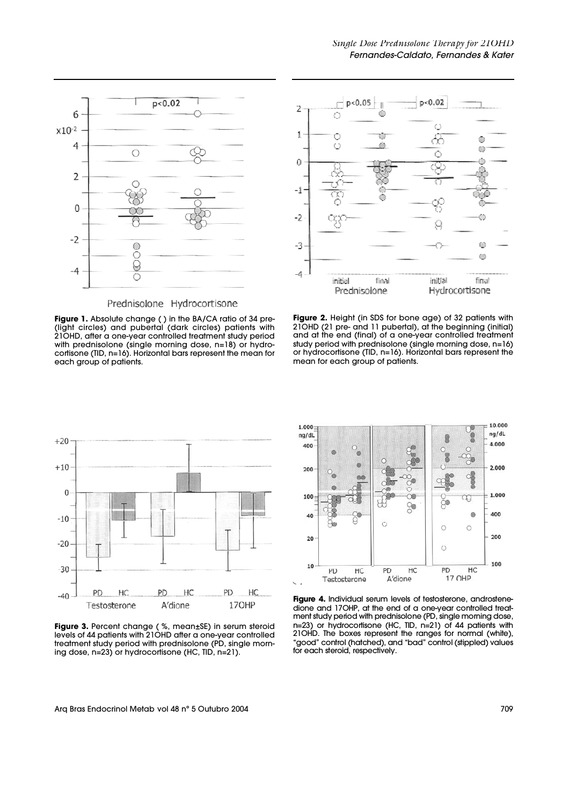

Prednisolone Hydrocortisone





**Figure 2.** Height (in SDS for bone age) of 32 patients with 21OHD (21 pre- and 11 pubertal), at the beginning (initial) and at the end (final) of a one-year controlled treatment study period with prednisolone (single morning dose, n=16) or hydrocortisone (TID, n=16). Horizontal bars represent the mean for each group of patients.



**Figure 3.** Percent change ( %, mean±SE) in serum steroid levels of 44 patients with 21OHD after a one-year controlled treatment study period with prednisolone (PD, single morning dose, n=23) or hydrocortisone (HC, TID, n=21).



**Figure 4.** Individual serum levels of testosterone, androstenedione and 17OHP, at the end of a one-year controlled treatment study period with prednisolone (PD, single morning dose, n=23) or hydrocortisone (HC, TID, n=21) of 44 patients with 21OHD. The boxes represent the ranges for normal (white), "good" control (hatched), and "bad" control (stippled) values for each steroid, respectively.

Arq Bras Endocrinol Metab vol 48 n° 5 Outubro 2004 **709** and the state of the state of the state of the state of the state of the state of the state of the state of the state of the state of the state of the state of the s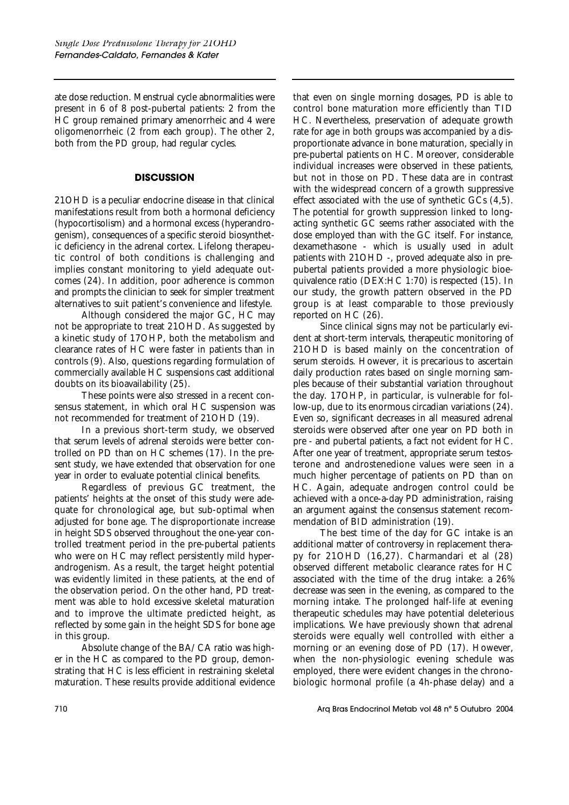ate dose reduction. Menstrual cycle abnormalities were present in 6 of 8 post-pubertal patients: 2 from the HC group remained primary amenorrheic and 4 were oligomenorrheic (2 from each group). The other 2, both from the PD group, had regular cycles.

# **DISCUSSION**

21OHD is a peculiar endocrine disease in that clinical manifestations result from both a hormonal deficiency (hypocortisolism) and a hormonal excess (hyperandrogenism), consequences of a specific steroid biosynthetic deficiency in the adrenal cortex. Lifelong therapeutic control of both conditions is challenging and implies constant monitoring to yield adequate outcomes (24). In addition, poor adherence is common and prompts the clinician to seek for simpler treatment alternatives to suit patient's convenience and lifestyle.

Although considered the major GC, HC may not be appropriate to treat 21OHD. As suggested by a kinetic study of 17OHP, both the metabolism and clearance rates of HC were faster in patients than in controls (9). Also, questions regarding formulation of commercially available HC suspensions cast additional doubts on its bioavailability (25).

These points were also stressed in a recent consensus statement, in which oral HC suspension was not recommended for treatment of 21OHD (19).

In a previous short-term study, we observed that serum levels of adrenal steroids were better controlled on PD than on HC schemes (17). In the present study, we have extended that observation for one year in order to evaluate potential clinical benefits.

Regardless of previous GC treatment, the patients' heights at the onset of this study were adequate for chronological age, but sub-optimal when adjusted for bone age. The disproportionate increase in height SDS observed throughout the one-year controlled treatment period in the pre-pubertal patients who were on HC may reflect persistently mild hyperandrogenism. As a result, the target height potential was evidently limited in these patients, at the end of the observation period. On the other hand, PD treatment was able to hold excessive skeletal maturation and to improve the ultimate predicted height, as reflected by some gain in the height SDS for bone age in this group.

Absolute change of the BA/CA ratio was higher in the HC as compared to the PD group, demonstrating that HC is less efficient in restraining skeletal maturation. These results provide additional evidence

that even on single morning dosages, PD is able to control bone maturation more efficiently than TID HC. Nevertheless, preservation of adequate growth rate for age in both groups was accompanied by a disproportionate advance in bone maturation, specially in pre-pubertal patients on HC. Moreover, considerable individual increases were observed in these patients, but not in those on PD. These data are in contrast with the widespread concern of a growth suppressive effect associated with the use of synthetic GCs (4,5). The potential for growth suppression linked to longacting synthetic GC seems rather associated with the dose employed than with the GC itself. For instance, dexamethasone - which is usually used in adult patients with 21OHD -, proved adequate also in prepubertal patients provided a more physiologic bioequivalence ratio (DEX:HC 1:70) is respected (15). In our study, the growth pattern observed in the PD group is at least comparable to those previously reported on HC (26).

Since clinical signs may not be particularly evident at short-term intervals, therapeutic monitoring of 21OHD is based mainly on the concentration of serum steroids. However, it is precarious to ascertain daily production rates based on single morning samples because of their substantial variation throughout the day. 17OHP, in particular, is vulnerable for follow-up, due to its enormous circadian variations (24). Even so, significant decreases in all measured adrenal steroids were observed after one year on PD both in pre - and pubertal patients, a fact not evident for HC. After one year of treatment, appropriate serum testosterone and androstenedione values were seen in a much higher percentage of patients on PD than on HC. Again, adequate androgen control could be achieved with a once-a-day PD administration, raising an argument against the consensus statement recommendation of BID administration (19).

The best time of the day for GC intake is an additional matter of controversy in replacement therapy for 21OHD (16,27). Charmandari et al (28) observed different metabolic clearance rates for HC associated with the time of the drug intake: a 26% decrease was seen in the evening, as compared to the morning intake. The prolonged half-life at evening therapeutic schedules may have potential deleterious implications. We have previously shown that adrenal steroids were equally well controlled with either a morning or an evening dose of PD (17). However, when the non-physiologic evening schedule was employed, there were evident changes in the chronobiologic hormonal profile (a 4h-phase delay) and a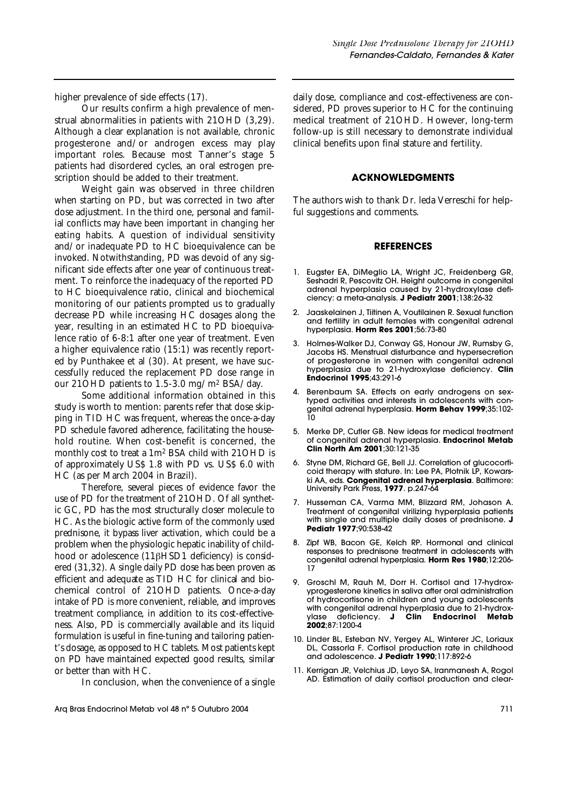higher prevalence of side effects (17).

Our results confirm a high prevalence of menstrual abnormalities in patients with 21OHD (3,29). Although a clear explanation is not available, chronic progesterone and/or androgen excess may play important roles. Because most Tanner's stage 5 patients had disordered cycles, an oral estrogen prescription should be added to their treatment.

Weight gain was observed in three children when starting on PD, but was corrected in two after dose adjustment. In the third one, personal and familial conflicts may have been important in changing her eating habits. A question of individual sensitivity and/or inadequate PD to HC bioequivalence can be invoked. Notwithstanding, PD was devoid of any significant side effects after one year of continuous treatment. To reinforce the inadequacy of the reported PD to HC bioequivalence ratio, clinical and biochemical monitoring of our patients prompted us to gradually decrease PD while increasing HC dosages along the year, resulting in an estimated HC to PD bioequivalence ratio of 6-8:1 after one year of treatment. Even a higher equivalence ratio (15:1) was recently reported by Punthakee et al (30). At present, we have successfully reduced the replacement PD dose range in our 21OHD patients to 1.5-3.0 mg/m2 BSA/day.

Some additional information obtained in this study is worth to mention: parents refer that dose skipping in TID HC was frequent, whereas the once-a-day PD schedule favored adherence, facilitating the household routine. When cost-benefit is concerned, the monthly cost to treat a 1m2 BSA child with 21OHD is of approximately US\$ 1.8 with PD vs. US\$ 6.0 with HC (as per March 2004 in Brazil).

Therefore, several pieces of evidence favor the use of PD for the treatment of 21OHD. Of all synthetic GC, PD has the most structurally closer molecule to HC. As the biologic active form of the commonly used prednisone, it bypass liver activation, which could be a problem when the physiologic hepatic inability of childhood or adolescence  $(11\beta HSD1$  deficiency) is considered (31,32). A single daily PD dose has been proven as efficient and adequate as TID HC for clinical and biochemical control of 21OHD patients. Once-a-day intake of PD is more convenient, reliable, and improves treatment compliance, in addition to its cost-effectiveness. Also, PD is commercially available and its liquid formulation is useful in fine-tuning and tailoring patient's dosage, as opposed to HC tablets. Most patients kept on PD have maintained expected good results, similar or better than with HC.

In conclusion, when the convenience of a single

Arq Bras Endocrinol Metab vol 48 n° 5 Outubro 2004 **711** 

daily dose, compliance and cost-effectiveness are considered, PD proves superior to HC for the continuing medical treatment of 21OHD. However, long-term follow-up is still necessary to demonstrate individual clinical benefits upon final stature and fertility.

### **ACKNOWLEDGMENTS**

The authors wish to thank Dr. leda Verreschi for helpful suggestions and comments.

### **REFERENCES**

- 1. Eugster EA, DiMeglio LA, Wright JC, Freidenberg GR, Seshadri R, Pescovitz OH. Height outcome in congenital adrenal hyperplasia caused by 21-hydroxylase deficiency: a meta-analysis. **J Pediatr 2001**;138:26-32
- 2. Jaaskelainen J, Tiitinen A, Voutilainen R. Sexual function and fertility in adult females with congenital adrenal hyperplasia. **Horm Res 2001**;56:73-80
- 3. Holmes-Walker DJ, Conway GS, Honour JW, Rumsby G, Jacobs HS. Menstrual disturbance and hypersecretion of progesterone in women with congenital adrenal hyperplasia due to 21-hydroxylase deficiency. **Clin Endocrinol 1995**;43:291-6
- 4. Berenbaum SA. Effects on early androgens on sex-<br>typed activities and interests in adolescents with contyped activities and interests in adolescents with congenital adrenal hyperplasia. **Horm Behav 1999**;35:102- 10
- 5. Merke DP, Cutler GB. New ideas for medical treatment of congenital adrenal hyperplasia. **Endocrinol Metab Clin North Am 2001**;30:121-35
- 6. Styne DM, Richard GE, Bell JJ. Correlation of glucocorticoid therapy with stature. In: Lee PA, Plotnik LP, Kowarski AA, eds. **Congenital adrenal hyperplasia**. Baltimore: University Park Press, **1977**. p.247-64
- 7. Husseman CA, Varma MM, Blizzard RM, Johason A. Treatment of congenital virilizing hyperplasia patients with single and multiple daily doses of prednisone. **J Pediatr 1977**;90:538-42
- 8. Zipf WB, Bacon GE, Kelch RP. Hormonal and clinical responses to prednisone treatment in adolescents with congenital adrenal hyperplasia. Horm Res 1980;12:206-17
- 9. Groschl M, Rauh M, Dorr H. Cortisol and 17-hydroxyprogesterone kinetics in saliva after oral administration of hydrocortisone in children and young adolescents with congenital adrenal hyperplasia due to 21-hydrox-<br>
ylase deficiency. **J Clin Endocrinol Metab** ylase deficiency. **J 2002**;87:1200-4
- 10. Linder BL, Esteban NV, Yergey AL, Winterer JC, Loriaux DL, Cassorla F. Cortisol production rate in childhood and adolescence. **J Pediatr 1990**;117:892-6
- 11. Kerrigan JR, Velchius JD, Leyo SA, lranmanesh A, Rogol AD. Estimation of daily cortisol production and clear-